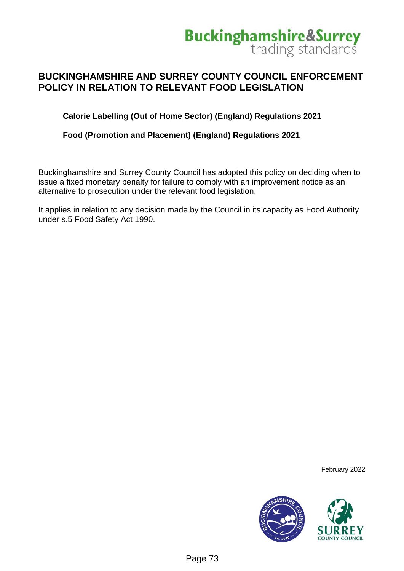

#### **BUCKINGHAMSHIRE AND SURREY COUNTY COUNCIL ENFORCEMENT POLICY IN RELATION TO RELEVANT FOOD LEGISLATION**

**Calorie Labelling (Out of Home Sector) (England) Regulations 2021**

**Food (Promotion and Placement) (England) Regulations 2021**

Buckinghamshire and Surrey County Council has adopted this policy on deciding when to issue a fixed monetary penalty for failure to comply with an improvement notice as an alternative to prosecution under the relevant food legislation.

It applies in relation to any decision made by the Council in its capacity as Food Authority under s.5 Food Safety Act 1990.

February 2022

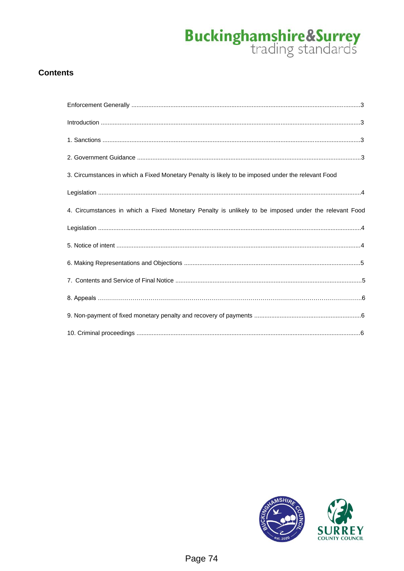#### **Contents**

| $\label{eq:1} \mbox{Introduction} \,\, \ldots \,\, \ldots \,\, \ldots \,\, \ldots \,\, \ldots \,\, \ldots \,\, \ldots \,\, \ldots \,\, \ldots \,\, \ldots \,\, \ldots \,\, \ldots \,\, \ldots \,\, \ldots \,\, \ldots \,\, \ldots \,\, \ldots \,\, \ldots \,\, \ldots \,\, \ldots \,\, \ldots \,\, \ldots \,\, \ldots \,\, \ldots \,\, \ldots \,\, \ldots \,\, \ldots \,\, \ldots \,\, \ldots \,\, \ldots \,\, \ldots \,\, \ldots \,\, \ldots \,\, \ldots \,\,$ |  |
|-----------------------------------------------------------------------------------------------------------------------------------------------------------------------------------------------------------------------------------------------------------------------------------------------------------------------------------------------------------------------------------------------------------------------------------------------------------------|--|
|                                                                                                                                                                                                                                                                                                                                                                                                                                                                 |  |
|                                                                                                                                                                                                                                                                                                                                                                                                                                                                 |  |
| 3. Circumstances in which a Fixed Monetary Penalty is likely to be imposed under the relevant Food                                                                                                                                                                                                                                                                                                                                                              |  |
|                                                                                                                                                                                                                                                                                                                                                                                                                                                                 |  |
| 4. Circumstances in which a Fixed Monetary Penalty is unlikely to be imposed under the relevant Food                                                                                                                                                                                                                                                                                                                                                            |  |
|                                                                                                                                                                                                                                                                                                                                                                                                                                                                 |  |
|                                                                                                                                                                                                                                                                                                                                                                                                                                                                 |  |
|                                                                                                                                                                                                                                                                                                                                                                                                                                                                 |  |
|                                                                                                                                                                                                                                                                                                                                                                                                                                                                 |  |
|                                                                                                                                                                                                                                                                                                                                                                                                                                                                 |  |
|                                                                                                                                                                                                                                                                                                                                                                                                                                                                 |  |
|                                                                                                                                                                                                                                                                                                                                                                                                                                                                 |  |

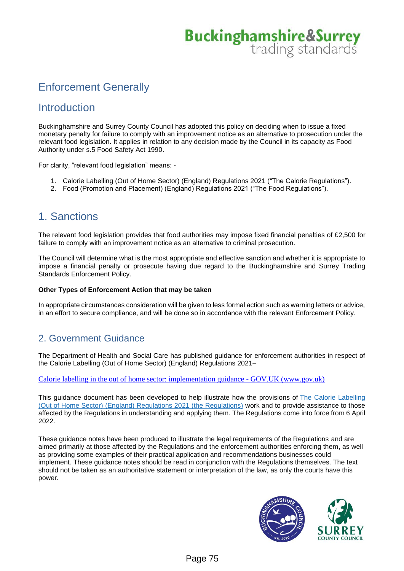## Enforcement Generally

## **Introduction**

Buckinghamshire and Surrey County Council has adopted this policy on deciding when to issue a fixed monetary penalty for failure to comply with an improvement notice as an alternative to prosecution under the relevant food legislation. It applies in relation to any decision made by the Council in its capacity as Food Authority under s.5 Food Safety Act 1990.

For clarity, "relevant food legislation" means: -

- 1. Calorie Labelling (Out of Home Sector) (England) Regulations 2021 ("The Calorie Regulations").
- 2. Food (Promotion and Placement) (England) Regulations 2021 ("The Food Regulations").

## 1. Sanctions

The relevant food legislation provides that food authorities may impose fixed financial penalties of £2,500 for failure to comply with an improvement notice as an alternative to criminal prosecution.

The Council will determine what is the most appropriate and effective sanction and whether it is appropriate to impose a financial penalty or prosecute having due regard to the Buckinghamshire and Surrey Trading Standards Enforcement Policy.

#### **Other Types of Enforcement Action that may be taken**

In appropriate circumstances consideration will be given to less formal action such as warning letters or advice, in an effort to secure compliance, and will be done so in accordance with the relevant Enforcement Policy.

#### 2. Government Guidance

The Department of Health and Social Care has published guidance for enforcement authorities in respect of the Calorie Labelling (Out of Home Sector) (England) Regulations 2021–

[Calorie labelling in the out of home sector: implementation guidance -](https://www.gov.uk/government/publications/calorie-labelling-in-the-out-of-home-sector/calorie-labelling-in-the-out-of-home-sector-implementation-guidance) GOV.UK (www.gov.uk)

This guidance document has been developed to help illustrate how the provisions of [The Calorie Labelling](https://www.legislation.gov.uk/uksi/2021/909/made)  [\(Out of Home Sector\) \(England\) Regulations 2021 \(the Regulations\)](https://www.legislation.gov.uk/uksi/2021/909/made) work and to provide assistance to those affected by the Regulations in understanding and applying them. The Regulations come into force from 6 April 2022.

These guidance notes have been produced to illustrate the legal requirements of the Regulations and are aimed primarily at those affected by the Regulations and the enforcement authorities enforcing them, as well as providing some examples of their practical application and recommendations businesses could implement. These guidance notes should be read in conjunction with the Regulations themselves. The text should not be taken as an authoritative statement or interpretation of the law, as only the courts have this power.

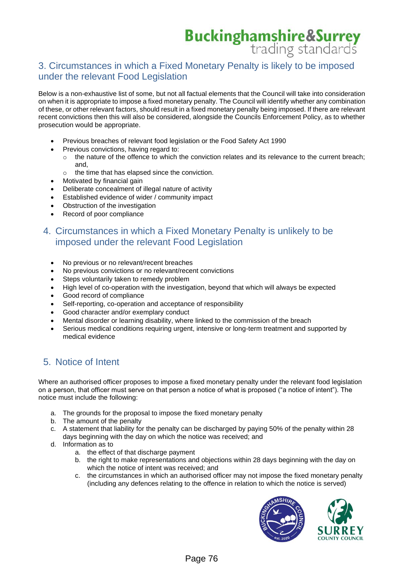#### 3. Circumstances in which a Fixed Monetary Penalty is likely to be imposed under the relevant Food Legislation

Below is a non-exhaustive list of some, but not all factual elements that the Council will take into consideration on when it is appropriate to impose a fixed monetary penalty. The Council will identify whether any combination of these, or other relevant factors, should result in a fixed monetary penalty being imposed. If there are relevant recent convictions then this will also be considered, alongside the Councils Enforcement Policy, as to whether prosecution would be appropriate.

- Previous breaches of relevant food legislation or the Food Safety Act 1990
- Previous convictions, having regard to:
	- $\circ$  the nature of the offence to which the conviction relates and its relevance to the current breach; and,
	- o the time that has elapsed since the conviction.
- Motivated by financial gain
- Deliberate concealment of illegal nature of activity
- Established evidence of wider / community impact
- Obstruction of the investigation
- Record of poor compliance

#### 4. Circumstances in which a Fixed Monetary Penalty is unlikely to be imposed under the relevant Food Legislation

- No previous or no relevant/recent breaches
- No previous convictions or no relevant/recent convictions
- Steps voluntarily taken to remedy problem
- High level of co-operation with the investigation, beyond that which will always be expected
- Good record of compliance
- Self-reporting, co-operation and acceptance of responsibility
- Good character and/or exemplary conduct
- Mental disorder or learning disability, where linked to the commission of the breach
- Serious medical conditions requiring urgent, intensive or long-term treatment and supported by medical evidence

#### 5. Notice of Intent

Where an authorised officer proposes to impose a fixed monetary penalty under the relevant food legislation on a person, that officer must serve on that person a notice of what is proposed ("a notice of intent"). The notice must include the following:

- a. The grounds for the proposal to impose the fixed monetary penalty
- b. The amount of the penalty
- c. A statement that liability for the penalty can be discharged by paying 50% of the penalty within 28 days beginning with the day on which the notice was received; and
- d. Information as to
	- a. the effect of that discharge payment
	- b. the right to make representations and objections within 28 days beginning with the day on which the notice of intent was received; and
	- c. the circumstances in which an authorised officer may not impose the fixed monetary penalty (including any defences relating to the offence in relation to which the notice is served)

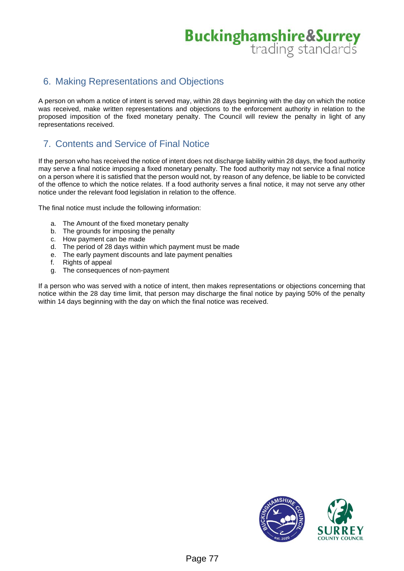#### 6. Making Representations and Objections

A person on whom a notice of intent is served may, within 28 days beginning with the day on which the notice was received, make written representations and objections to the enforcement authority in relation to the proposed imposition of the fixed monetary penalty. The Council will review the penalty in light of any representations received.

### 7. Contents and Service of Final Notice

If the person who has received the notice of intent does not discharge liability within 28 days, the food authority may serve a final notice imposing a fixed monetary penalty. The food authority may not service a final notice on a person where it is satisfied that the person would not, by reason of any defence, be liable to be convicted of the offence to which the notice relates. If a food authority serves a final notice, it may not serve any other notice under the relevant food legislation in relation to the offence.

The final notice must include the following information:

- a. The Amount of the fixed monetary penalty
- b. The grounds for imposing the penalty<br>c. How payment can be made
- How payment can be made
- d. The period of 28 days within which payment must be made
- e. The early payment discounts and late payment penalties f. Rights of appeal
- Rights of appeal
- g. The consequences of non-payment

If a person who was served with a notice of intent, then makes representations or objections concerning that notice within the 28 day time limit, that person may discharge the final notice by paying 50% of the penalty within 14 days beginning with the day on which the final notice was received.